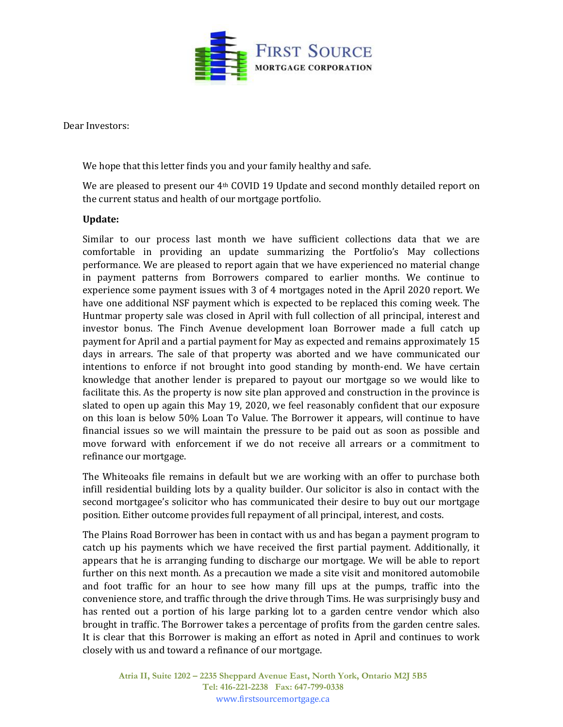

Dear Investors:

We hope that this letter finds you and your family healthy and safe.

We are pleased to present our  $4<sup>th</sup>$  COVID 19 Update and second monthly detailed report on the current status and health of our mortgage portfolio.

## **Update:**

Similar to our process last month we have sufficient collections data that we are comfortable in providing an update summarizing the Portfolio's May collections performance. We are pleased to report again that we have experienced no material change in payment patterns from Borrowers compared to earlier months. We continue to experience some payment issues with 3 of 4 mortgages noted in the April 2020 report. We have one additional NSF payment which is expected to be replaced this coming week. The Huntmar property sale was closed in April with full collection of all principal, interest and investor bonus. The Finch Avenue development loan Borrower made a full catch up payment for April and a partial payment for May as expected and remains approximately 15 days in arrears. The sale of that property was aborted and we have communicated our intentions to enforce if not brought into good standing by month-end. We have certain knowledge that another lender is prepared to payout our mortgage so we would like to facilitate this. As the property is now site plan approved and construction in the province is slated to open up again this May 19, 2020, we feel reasonably confident that our exposure on this loan is below 50% Loan To Value. The Borrower it appears, will continue to have financial issues so we will maintain the pressure to be paid out as soon as possible and move forward with enforcement if we do not receive all arrears or a commitment to refinance our mortgage.

The Whiteoaks file remains in default but we are working with an offer to purchase both infill residential building lots by a quality builder. Our solicitor is also in contact with the second mortgagee's solicitor who has communicated their desire to buy out our mortgage position. Either outcome provides full repayment of all principal, interest, and costs.

The Plains Road Borrower has been in contact with us and has began a payment program to catch up his payments which we have received the first partial payment. Additionally, it appears that he is arranging funding to discharge our mortgage. We will be able to report further on this next month. As a precaution we made a site visit and monitored automobile and foot traffic for an hour to see how many fill ups at the pumps, traffic into the convenience store, and traffic through the drive through Tims. He was surprisingly busy and has rented out a portion of his large parking lot to a garden centre vendor which also brought in traffic. The Borrower takes a percentage of profits from the garden centre sales. It is clear that this Borrower is making an effort as noted in April and continues to work closely with us and toward a refinance of our mortgage.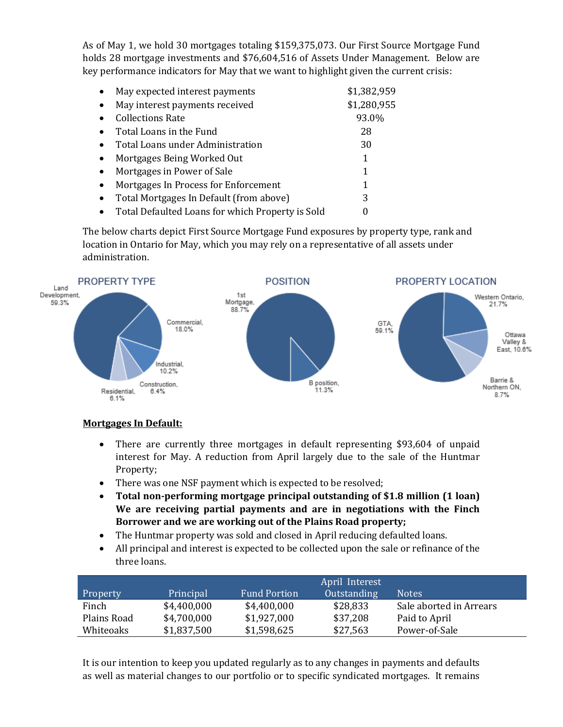As of May 1, we hold 30 mortgages totaling \$159,375,073. Our First Source Mortgage Fund holds 28 mortgage investments and \$76,604,516 of Assets Under Management. Below are key performance indicators for May that we want to highlight given the current crisis:

| $\bullet$ | May expected interest payments                   | \$1,382,959 |
|-----------|--------------------------------------------------|-------------|
| $\bullet$ | May interest payments received                   | \$1,280,955 |
| $\bullet$ | <b>Collections Rate</b>                          | 93.0%       |
| $\bullet$ | Total Loans in the Fund                          | 28          |
| $\bullet$ | Total Loans under Administration                 | 30          |
| $\bullet$ | Mortgages Being Worked Out                       | 1           |
| $\bullet$ | Mortgages in Power of Sale                       | 1           |
| $\bullet$ | Mortgages In Process for Enforcement             | 1           |
| $\bullet$ | Total Mortgages In Default (from above)          | 3           |
| $\bullet$ | Total Defaulted Loans for which Property is Sold |             |

The below charts depict First Source Mortgage Fund exposures by property type, rank and location in Ontario for May, which you may rely on a representative of all assets under administration.



## **Mortgages In Default:**

- There are currently three mortgages in default representing \$93,604 of unpaid interest for May. A reduction from April largely due to the sale of the Huntmar Property;
- There was one NSF payment which is expected to be resolved;
- **Total non-performing mortgage principal outstanding of \$1.8 million (1 loan) We are receiving partial payments and are in negotiations with the Finch Borrower and we are working out of the Plains Road property;**
- The Huntmar property was sold and closed in April reducing defaulted loans.
- All principal and interest is expected to be collected upon the sale or refinance of the three loans.

|             |             | April Interest      |             |                         |
|-------------|-------------|---------------------|-------------|-------------------------|
| Property    | Principal   | <b>Fund Portion</b> | Outstanding | <b>Notes</b>            |
| Finch       | \$4,400,000 | \$4,400,000         | \$28,833    | Sale aborted in Arrears |
| Plains Road | \$4,700,000 | \$1,927,000         | \$37,208    | Paid to April           |
| Whiteoaks   | \$1,837,500 | \$1,598,625         | \$27,563    | Power-of-Sale           |

It is our intention to keep you updated regularly as to any changes in payments and defaults as well as material changes to our portfolio or to specific syndicated mortgages. It remains